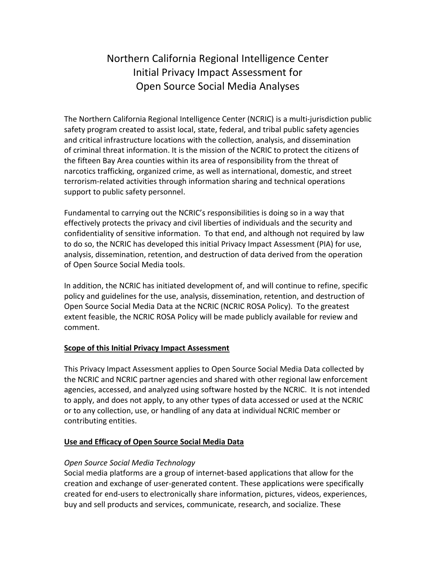# Northern California Regional Intelligence Center Initial Privacy Impact Assessment for Open Source Social Media Analyses

The Northern California Regional Intelligence Center (NCRIC) is a multi-jurisdiction public safety program created to assist local, state, federal, and tribal public safety agencies and critical infrastructure locations with the collection, analysis, and dissemination of criminal threat information. It is the mission of the NCRIC to protect the citizens of the fifteen Bay Area counties within its area of responsibility from the threat of narcotics trafficking, organized crime, as well as international, domestic, and street terrorism-related activities through information sharing and technical operations support to public safety personnel.

Fundamental to carrying out the NCRIC's responsibilities is doing so in a way that effectively protects the privacy and civil liberties of individuals and the security and confidentiality of sensitive information. To that end, and although not required by law to do so, the NCRIC has developed this initial Privacy Impact Assessment (PIA) for use, analysis, dissemination, retention, and destruction of data derived from the operation of Open Source Social Media tools.

In addition, the NCRIC has initiated development of, and will continue to refine, specific policy and guidelines for the use, analysis, dissemination, retention, and destruction of Open Source Social Media Data at the NCRIC (NCRIC ROSA Policy). To the greatest extent feasible, the NCRIC ROSA Policy will be made publicly available for review and comment.

# **Scope of this Initial Privacy Impact Assessment**

This Privacy Impact Assessment applies to Open Source Social Media Data collected by the NCRIC and NCRIC partner agencies and shared with other regional law enforcement agencies, accessed, and analyzed using software hosted by the NCRIC. It is not intended to apply, and does not apply, to any other types of data accessed or used at the NCRIC or to any collection, use, or handling of any data at individual NCRIC member or contributing entities.

# **Use and Efficacy of Open Source Social Media Data**

# *Open Source Social Media Technology*

Social media platforms are a group of internet-based applications that allow for the creation and exchange of user-generated content. These applications were specifically created for end-users to electronically share information, pictures, videos, experiences, buy and sell products and services, communicate, research, and socialize. These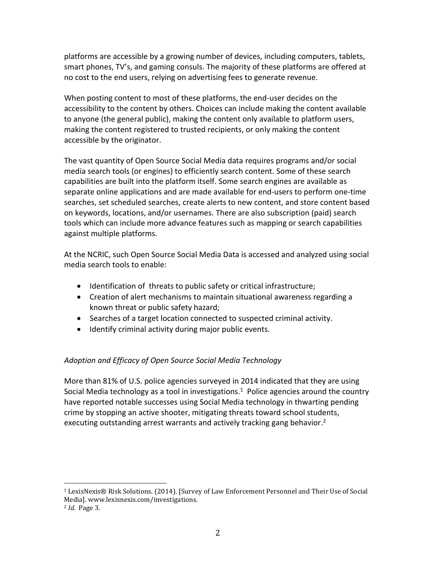platforms are accessible by a growing number of devices, including computers, tablets, smart phones, TV's, and gaming consuls. The majority of these platforms are offered at no cost to the end users, relying on advertising fees to generate revenue.

When posting content to most of these platforms, the end-user decides on the accessibility to the content by others. Choices can include making the content available to anyone (the general public), making the content only available to platform users, making the content registered to trusted recipients, or only making the content accessible by the originator.

The vast quantity of Open Source Social Media data requires programs and/or social media search tools (or engines) to efficiently search content. Some of these search capabilities are built into the platform itself. Some search engines are available as separate online applications and are made available for end-users to perform one-time searches, set scheduled searches, create alerts to new content, and store content based on keywords, locations, and/or usernames. There are also subscription (paid) search tools which can include more advance features such as mapping or search capabilities against multiple platforms.

At the NCRIC, such Open Source Social Media Data is accessed and analyzed using social media search tools to enable:

- Identification of threats to public safety or critical infrastructure;
- Creation of alert mechanisms to maintain situational awareness regarding a known threat or public safety hazard;
- Searches of a target location connected to suspected criminal activity.
- $\bullet$  Identify criminal activity during major public events.

# *Adoption and Efficacy of Open Source Social Media Technology*

More than 81% of U.S. police agencies surveyed in 2014 indicated that they are using Social Media technology as a tool in investigations.<sup>1</sup> Police agencies around the country have reported notable successes using Social Media technology in thwarting pending crime by stopping an active shooter, mitigating threats toward school students, executing outstanding arrest warrants and actively tracking gang behavior.<sup>2</sup>

 $\overline{\phantom{a}}$ 

<sup>1</sup> LexisNexis® Risk Solutions. (2014). [Survey of Law Enforcement Personnel and Their Use of Social Media]. www.lexisnexis.com/investigations.

<sup>2</sup> *Id*. Page 3.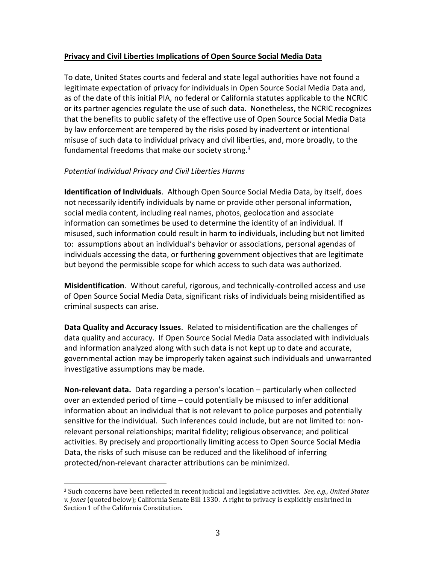### **Privacy and Civil Liberties Implications of Open Source Social Media Data**

To date, United States courts and federal and state legal authorities have not found a legitimate expectation of privacy for individuals in Open Source Social Media Data and, as of the date of this initial PIA, no federal or California statutes applicable to the NCRIC or its partner agencies regulate the use of such data. Nonetheless, the NCRIC recognizes that the benefits to public safety of the effective use of Open Source Social Media Data by law enforcement are tempered by the risks posed by inadvertent or intentional misuse of such data to individual privacy and civil liberties, and, more broadly, to the fundamental freedoms that make our society strong.<sup>3</sup>

#### *Potential Individual Privacy and Civil Liberties Harms*

 $\overline{\phantom{a}}$ 

**Identification of Individuals**. Although Open Source Social Media Data, by itself, does not necessarily identify individuals by name or provide other personal information, social media content, including real names, photos, geolocation and associate information can sometimes be used to determine the identity of an individual. If misused, such information could result in harm to individuals, including but not limited to: assumptions about an individual's behavior or associations, personal agendas of individuals accessing the data, or furthering government objectives that are legitimate but beyond the permissible scope for which access to such data was authorized.

**Misidentification**. Without careful, rigorous, and technically-controlled access and use of Open Source Social Media Data, significant risks of individuals being misidentified as criminal suspects can arise.

**Data Quality and Accuracy Issues**. Related to misidentification are the challenges of data quality and accuracy. If Open Source Social Media Data associated with individuals and information analyzed along with such data is not kept up to date and accurate, governmental action may be improperly taken against such individuals and unwarranted investigative assumptions may be made.

**Non-relevant data.** Data regarding a person's location – particularly when collected over an extended period of time – could potentially be misused to infer additional information about an individual that is not relevant to police purposes and potentially sensitive for the individual. Such inferences could include, but are not limited to: nonrelevant personal relationships; marital fidelity; religious observance; and political activities. By precisely and proportionally limiting access to Open Source Social Media Data, the risks of such misuse can be reduced and the likelihood of inferring protected/non-relevant character attributions can be minimized.

<sup>3</sup> Such concerns have been reflected in recent judicial and legislative activities. *See, e.g., United States v. Jones* (quoted below); California Senate Bill 1330. A right to privacy is explicitly enshrined in Section 1 of the California Constitution.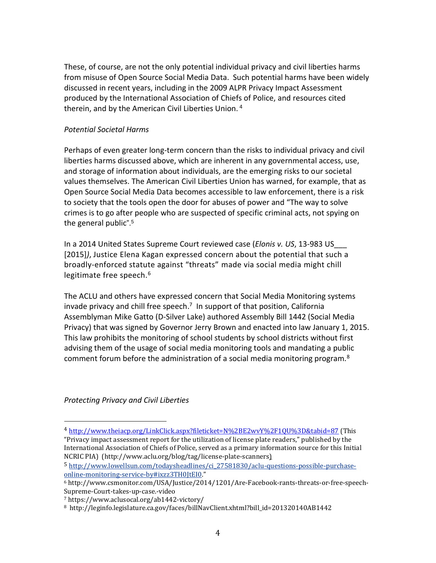These, of course, are not the only potential individual privacy and civil liberties harms from misuse of Open Source Social Media Data. Such potential harms have been widely discussed in recent years, including in the 2009 ALPR Privacy Impact Assessment produced by the International Association of Chiefs of Police, and resources cited therein, and by the American Civil Liberties Union.<sup>4</sup>

#### *Potential Societal Harms*

Perhaps of even greater long-term concern than the risks to individual privacy and civil liberties harms discussed above, which are inherent in any governmental access, use, and storage of information about individuals, are the emerging risks to our societal values themselves. The American Civil Liberties Union has warned, for example, that as Open Source Social Media Data becomes accessible to law enforcement, there is a risk to society that the tools open the door for abuses of power and "The way to solve crimes is to go after people who are suspected of specific criminal acts, not spying on the general public". 5

In a 2014 United States Supreme Court reviewed case (*Elonis v. US*, 13-983 US\_\_\_ [2015]*)*, Justice Elena Kagan expressed concern about the potential that such a broadly-enforced statute against "threats" made via social media might chill legitimate free speech.<sup>6</sup>

The ACLU and others have expressed concern that Social Media Monitoring systems invade privacy and chill free speech.<sup>7</sup> In support of that position, California Assemblyman Mike Gatto (D-Silver Lake) authored Assembly Bill 1442 (Social Media Privacy) that was signed by Governor Jerry Brown and enacted into law January 1, 2015. This law prohibits the monitoring of school students by school districts without first advising them of the usage of social media monitoring tools and mandating a public comment forum before the administration of a social media monitoring program. $8$ 

*Protecting Privacy and Civil Liberties*

 $\overline{\phantom{a}}$ 

<sup>4</sup> <http://www.theiacp.org/LinkClick.aspx?fileticket=N%2BE2wvY%2F1QU%3D&tabid=87> (This "Privacy impact assessment report for the utilization of license plate readers," published by the International Association of Chiefs of Police, served as a primary information source for this Initial NCRIC PIA) (http://www.aclu.org/blog/tag/license-plate-scanners)

<sup>5</sup> [http://www.lowellsun.com/todaysheadlines/ci\\_27581830/aclu-questions-possible-purchase](http://www.lowellsun.com/todaysheadlines/ci_27581830/aclu-questions-possible-purchase-online-monitoring-service-by#ixzz3TH0JtEI0)[online-monitoring-service-by#ixzz3TH0JtEI0](http://www.lowellsun.com/todaysheadlines/ci_27581830/aclu-questions-possible-purchase-online-monitoring-service-by#ixzz3TH0JtEI0)."

<sup>6</sup> http://www.csmonitor.com/USA/Justice/2014/1201/Are-Facebook-rants-threats-or-free-speech-Supreme-Court-takes-up-case.-video

<sup>7</sup> https://www.aclusocal.org/ab1442-victory/

<sup>8</sup> http://leginfo.legislature.ca.gov/faces/billNavClient.xhtml?bill\_id=201320140AB1442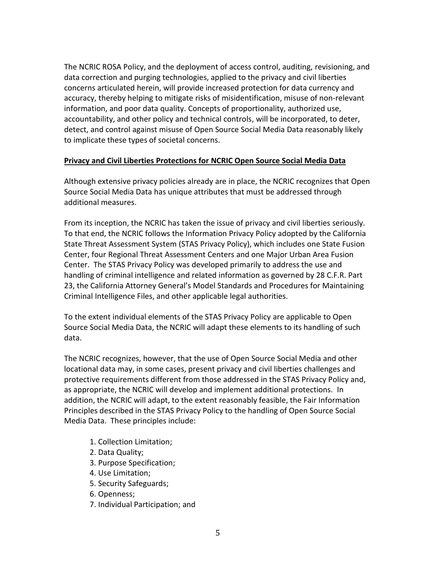The NCRIC ROSA Policy, and the deployment of access control, auditing, revisioning, and data correction and purging technologies, applied to the privacy and civil liberties concerns articulated herein, will provide increased protection for data currency and accuracy, thereby helping to mitigate risks of misidentification, misuse of non-relevant information, and poor data quality. Concepts of proportionality, authorized use, accountability, and other policy and technical controls, will be incorporated, to deter, detect, and control against misuse of Open Source Social Media Data reasonably likely to implicate these types of societal concerns.

#### **Privacy and Civil Liberties Protections for NCRIC Open Source Social Media Data**

Although extensive privacy policies already are in place, the NCRIC recognizes that Open Source Social Media Data has unique attributes that must be addressed through additional measures.

From its inception, the NCRIC has taken the issue of privacy and civil liberties seriously. To that end, the NCRIC follows the Information Privacy Policy adopted by the California State Threat Assessment System (STAS Privacy Policy), which includes one State Fusion Center, four Regional Threat Assessment Centers and one Major Urban Area Fusion Center. The STAS Privacy Policy was developed primarily to address the use and handling of criminal intelligence and related information as governed by 28 C.F.R. Part 23, the California Attorney General's Model Standards and Procedures for Maintaining Criminal Intelligence Files, and other applicable legal authorities.

To the extent individual elements of the STAS Privacy Policy are applicable to Open Source Social Media Data, the NCRIC will adapt these elements to its handling of such data.

The NCRIC recognizes, however, that the use of Open Source Social Media and other locational data may, in some cases, present privacy and civil liberties challenges and protective requirements different from those addressed in the STAS Privacy Policy and, as appropriate, the NCRIC will develop and implement additional protections. In addition, the NCRIC will adapt, to the extent reasonably feasible, the Fair Information Principles described in the STAS Privacy Policy to the handling of Open Source Social Media Data. These principles include:

- 1. Collection Limitation;
- 2. Data Quality;
- 3. Purpose Specification;
- 4. Use Limitation;
- 5. Security Safeguards;
- 6. Openness;
- 7. Individual Participation; and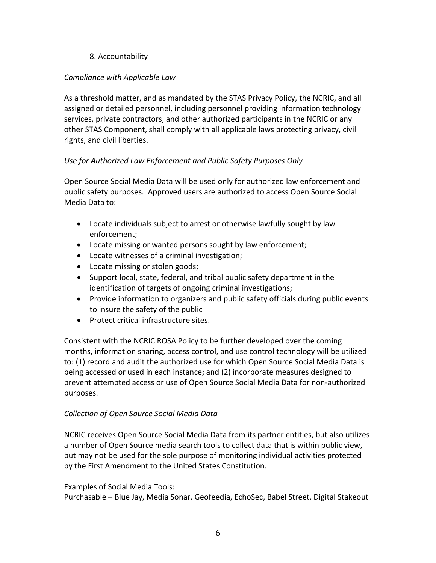# 8. Accountability

# *Compliance with Applicable Law*

As a threshold matter, and as mandated by the STAS Privacy Policy, the NCRIC, and all assigned or detailed personnel, including personnel providing information technology services, private contractors, and other authorized participants in the NCRIC or any other STAS Component, shall comply with all applicable laws protecting privacy, civil rights, and civil liberties.

# *Use for Authorized Law Enforcement and Public Safety Purposes Only*

Open Source Social Media Data will be used only for authorized law enforcement and public safety purposes. Approved users are authorized to access Open Source Social Media Data to:

- Locate individuals subject to arrest or otherwise lawfully sought by law enforcement;
- Locate missing or wanted persons sought by law enforcement;
- Locate witnesses of a criminal investigation;
- Locate missing or stolen goods;
- Support local, state, federal, and tribal public safety department in the identification of targets of ongoing criminal investigations;
- Provide information to organizers and public safety officials during public events to insure the safety of the public
- Protect critical infrastructure sites.

Consistent with the NCRIC ROSA Policy to be further developed over the coming months, information sharing, access control, and use control technology will be utilized to: (1) record and audit the authorized use for which Open Source Social Media Data is being accessed or used in each instance; and (2) incorporate measures designed to prevent attempted access or use of Open Source Social Media Data for non-authorized purposes.

# *Collection of Open Source Social Media Data*

NCRIC receives Open Source Social Media Data from its partner entities, but also utilizes a number of Open Source media search tools to collect data that is within public view, but may not be used for the sole purpose of monitoring individual activities protected by the First Amendment to the United States Constitution.

# Examples of Social Media Tools:

Purchasable – Blue Jay, Media Sonar, Geofeedia, EchoSec, Babel Street, Digital Stakeout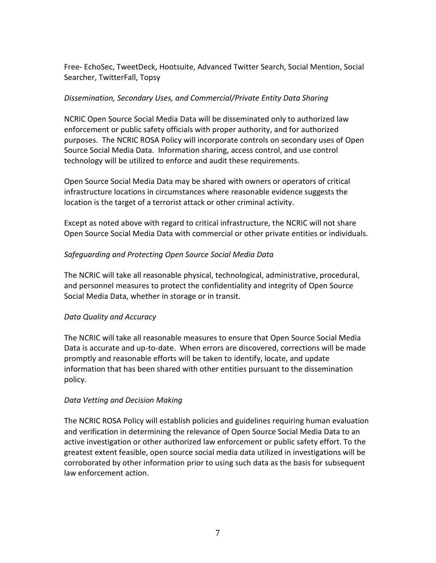Free- EchoSec, TweetDeck, Hootsuite, Advanced Twitter Search, Social Mention, Social Searcher, TwitterFall, Topsy

# *Dissemination, Secondary Uses, and Commercial/Private Entity Data Sharing*

NCRIC Open Source Social Media Data will be disseminated only to authorized law enforcement or public safety officials with proper authority, and for authorized purposes. The NCRIC ROSA Policy will incorporate controls on secondary uses of Open Source Social Media Data. Information sharing, access control, and use control technology will be utilized to enforce and audit these requirements.

Open Source Social Media Data may be shared with owners or operators of critical infrastructure locations in circumstances where reasonable evidence suggests the location is the target of a terrorist attack or other criminal activity.

Except as noted above with regard to critical infrastructure, the NCRIC will not share Open Source Social Media Data with commercial or other private entities or individuals.

# *Safeguarding and Protecting Open Source Social Media Data*

The NCRIC will take all reasonable physical, technological, administrative, procedural, and personnel measures to protect the confidentiality and integrity of Open Source Social Media Data, whether in storage or in transit.

# *Data Quality and Accuracy*

The NCRIC will take all reasonable measures to ensure that Open Source Social Media Data is accurate and up-to-date. When errors are discovered, corrections will be made promptly and reasonable efforts will be taken to identify, locate, and update information that has been shared with other entities pursuant to the dissemination policy.

# *Data Vetting and Decision Making*

The NCRIC ROSA Policy will establish policies and guidelines requiring human evaluation and verification in determining the relevance of Open Source Social Media Data to an active investigation or other authorized law enforcement or public safety effort. To the greatest extent feasible, open source social media data utilized in investigations will be corroborated by other information prior to using such data as the basis for subsequent law enforcement action.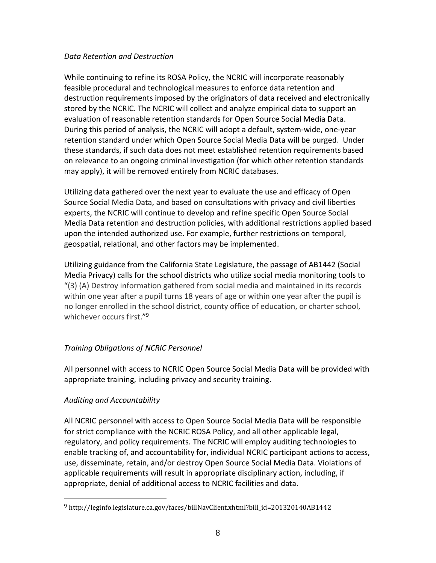### *Data Retention and Destruction*

While continuing to refine its ROSA Policy, the NCRIC will incorporate reasonably feasible procedural and technological measures to enforce data retention and destruction requirements imposed by the originators of data received and electronically stored by the NCRIC. The NCRIC will collect and analyze empirical data to support an evaluation of reasonable retention standards for Open Source Social Media Data. During this period of analysis, the NCRIC will adopt a default, system-wide, one-year retention standard under which Open Source Social Media Data will be purged. Under these standards, if such data does not meet established retention requirements based on relevance to an ongoing criminal investigation (for which other retention standards may apply), it will be removed entirely from NCRIC databases.

Utilizing data gathered over the next year to evaluate the use and efficacy of Open Source Social Media Data, and based on consultations with privacy and civil liberties experts, the NCRIC will continue to develop and refine specific Open Source Social Media Data retention and destruction policies, with additional restrictions applied based upon the intended authorized use. For example, further restrictions on temporal, geospatial, relational, and other factors may be implemented.

Utilizing guidance from the California State Legislature, the passage of AB1442 (Social Media Privacy) calls for the school districts who utilize social media monitoring tools to "(3) (A) Destroy information gathered from social media and maintained in its records within one year after a pupil turns 18 years of age or within one year after the pupil is no longer enrolled in the school district, county office of education, or charter school, whichever occurs first."<sup>9</sup>

# *Training Obligations of NCRIC Personnel*

All personnel with access to NCRIC Open Source Social Media Data will be provided with appropriate training, including privacy and security training.

# *Auditing and Accountability*

l

All NCRIC personnel with access to Open Source Social Media Data will be responsible for strict compliance with the NCRIC ROSA Policy, and all other applicable legal, regulatory, and policy requirements. The NCRIC will employ auditing technologies to enable tracking of, and accountability for, individual NCRIC participant actions to access, use, disseminate, retain, and/or destroy Open Source Social Media Data. Violations of applicable requirements will result in appropriate disciplinary action, including, if appropriate, denial of additional access to NCRIC facilities and data.

<sup>9</sup> http://leginfo.legislature.ca.gov/faces/billNavClient.xhtml?bill\_id=201320140AB1442